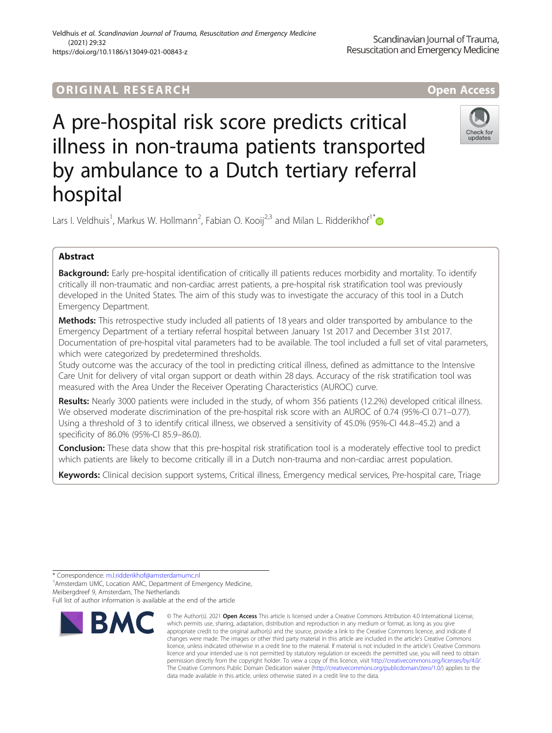## **ORIGINAL RESEARCH CORES EXECUTE OPEN ACCESS**

# A pre-hospital risk score predicts critical illness in non-trauma patients transported by ambulance to a Dutch tertiary referral hospital



Lars I. Veldhuis<sup>1</sup>, Markus W. Hollmann<sup>2</sup>, Fabian O. Kooij<sup>2,3</sup> and Milan L. Ridderikhof<sup>1[\\*](http://orcid.org/0000-0002-1561-7252)</sup>

## Abstract

Background: Early pre-hospital identification of critically ill patients reduces morbidity and mortality. To identify critically ill non-traumatic and non-cardiac arrest patients, a pre-hospital risk stratification tool was previously developed in the United States. The aim of this study was to investigate the accuracy of this tool in a Dutch Emergency Department.

Methods: This retrospective study included all patients of 18 years and older transported by ambulance to the Emergency Department of a tertiary referral hospital between January 1st 2017 and December 31st 2017. Documentation of pre-hospital vital parameters had to be available. The tool included a full set of vital parameters, which were categorized by predetermined thresholds.

Study outcome was the accuracy of the tool in predicting critical illness, defined as admittance to the Intensive Care Unit for delivery of vital organ support or death within 28 days. Accuracy of the risk stratification tool was measured with the Area Under the Receiver Operating Characteristics (AUROC) curve.

Results: Nearly 3000 patients were included in the study, of whom 356 patients (12.2%) developed critical illness. We observed moderate discrimination of the pre-hospital risk score with an AUROC of 0.74 (95%-CI 0.71–0.77). Using a threshold of 3 to identify critical illness, we observed a sensitivity of 45.0% (95%-CI 44.8–45.2) and a specificity of 86.0% (95%-CI 85.9–86.0).

**Conclusion:** These data show that this pre-hospital risk stratification tool is a moderately effective tool to predict which patients are likely to become critically ill in a Dutch non-trauma and non-cardiac arrest population.

Keywords: Clinical decision support systems, Critical illness, Emergency medical services, Pre-hospital care, Triage

<sup>1</sup> Amsterdam UMC, Location AMC, Department of Emergency Medicine, Meibergdreef 9, Amsterdam, The Netherlands

Full list of author information is available at the end of the article



<sup>©</sup> The Author(s), 2021 **Open Access** This article is licensed under a Creative Commons Attribution 4.0 International License, which permits use, sharing, adaptation, distribution and reproduction in any medium or format, as long as you give appropriate credit to the original author(s) and the source, provide a link to the Creative Commons licence, and indicate if changes were made. The images or other third party material in this article are included in the article's Creative Commons licence, unless indicated otherwise in a credit line to the material. If material is not included in the article's Creative Commons licence and your intended use is not permitted by statutory regulation or exceeds the permitted use, you will need to obtain permission directly from the copyright holder. To view a copy of this licence, visit [http://creativecommons.org/licenses/by/4.0/.](http://creativecommons.org/licenses/by/4.0/) The Creative Commons Public Domain Dedication waiver [\(http://creativecommons.org/publicdomain/zero/1.0/](http://creativecommons.org/publicdomain/zero/1.0/)) applies to the data made available in this article, unless otherwise stated in a credit line to the data.

<sup>\*</sup> Correspondence: [m.l.ridderikhof@amsterdamumc.nl](mailto:m.l.ridderikhof@amsterdamumc.nl) <sup>1</sup>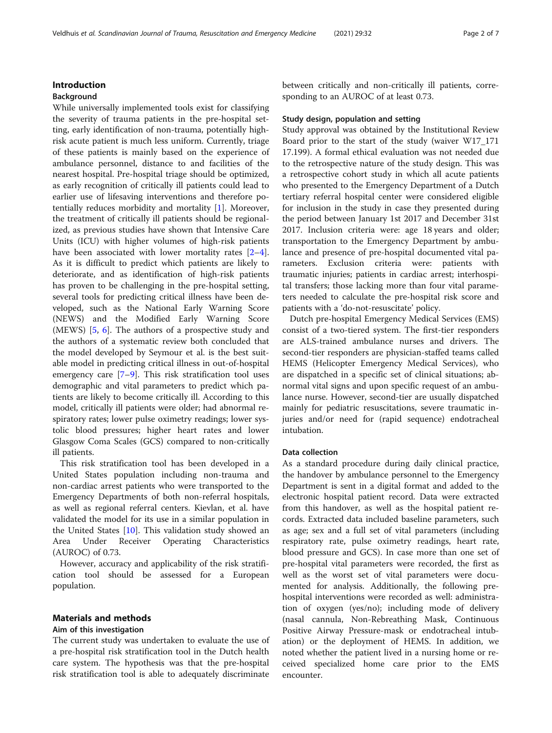## Introduction

#### Background

While universally implemented tools exist for classifying the severity of trauma patients in the pre-hospital setting, early identification of non-trauma, potentially highrisk acute patient is much less uniform. Currently, triage of these patients is mainly based on the experience of ambulance personnel, distance to and facilities of the nearest hospital. Pre-hospital triage should be optimized, as early recognition of critically ill patients could lead to earlier use of lifesaving interventions and therefore potentially reduces morbidity and mortality [\[1](#page-6-0)]. Moreover, the treatment of critically ill patients should be regionalized, as previous studies have shown that Intensive Care Units (ICU) with higher volumes of high-risk patients have been associated with lower mortality rates [\[2](#page-6-0)–[4](#page-6-0)]. As it is difficult to predict which patients are likely to deteriorate, and as identification of high-risk patients has proven to be challenging in the pre-hospital setting, several tools for predicting critical illness have been developed, such as the National Early Warning Score (NEWS) and the Modified Early Warning Score (MEWS) [[5,](#page-6-0) [6](#page-6-0)]. The authors of a prospective study and the authors of a systematic review both concluded that the model developed by Seymour et al. is the best suitable model in predicting critical illness in out-of-hospital emergency care [[7](#page-6-0)–[9](#page-6-0)]. This risk stratification tool uses demographic and vital parameters to predict which patients are likely to become critically ill. According to this model, critically ill patients were older; had abnormal respiratory rates; lower pulse oximetry readings; lower systolic blood pressures; higher heart rates and lower Glasgow Coma Scales (GCS) compared to non-critically ill patients.

This risk stratification tool has been developed in a United States population including non-trauma and non-cardiac arrest patients who were transported to the Emergency Departments of both non-referral hospitals, as well as regional referral centers. Kievlan, et al. have validated the model for its use in a similar population in the United States [[10\]](#page-6-0). This validation study showed an Area Under Receiver Operating Characteristics (AUROC) of 0.73.

However, accuracy and applicability of the risk stratification tool should be assessed for a European population.

## Materials and methods

## Aim of this investigation

The current study was undertaken to evaluate the use of a pre-hospital risk stratification tool in the Dutch health care system. The hypothesis was that the pre-hospital risk stratification tool is able to adequately discriminate

between critically and non-critically ill patients, corresponding to an AUROC of at least 0.73.

## Study design, population and setting

Study approval was obtained by the Institutional Review Board prior to the start of the study (waiver W17\_171 17.199). A formal ethical evaluation was not needed due to the retrospective nature of the study design. This was a retrospective cohort study in which all acute patients who presented to the Emergency Department of a Dutch tertiary referral hospital center were considered eligible for inclusion in the study in case they presented during the period between January 1st 2017 and December 31st 2017. Inclusion criteria were: age 18 years and older; transportation to the Emergency Department by ambulance and presence of pre-hospital documented vital parameters. Exclusion criteria were: patients with traumatic injuries; patients in cardiac arrest; interhospital transfers; those lacking more than four vital parameters needed to calculate the pre-hospital risk score and patients with a 'do-not-resuscitate' policy.

Dutch pre-hospital Emergency Medical Services (EMS) consist of a two-tiered system. The first-tier responders are ALS-trained ambulance nurses and drivers. The second-tier responders are physician-staffed teams called HEMS (Helicopter Emergency Medical Services), who are dispatched in a specific set of clinical situations; abnormal vital signs and upon specific request of an ambulance nurse. However, second-tier are usually dispatched mainly for pediatric resuscitations, severe traumatic injuries and/or need for (rapid sequence) endotracheal intubation.

## Data collection

As a standard procedure during daily clinical practice, the handover by ambulance personnel to the Emergency Department is sent in a digital format and added to the electronic hospital patient record. Data were extracted from this handover, as well as the hospital patient records. Extracted data included baseline parameters, such as age; sex and a full set of vital parameters (including respiratory rate, pulse oximetry readings, heart rate, blood pressure and GCS). In case more than one set of pre-hospital vital parameters were recorded, the first as well as the worst set of vital parameters were documented for analysis. Additionally, the following prehospital interventions were recorded as well: administration of oxygen (yes/no); including mode of delivery (nasal cannula, Non-Rebreathing Mask, Continuous Positive Airway Pressure-mask or endotracheal intubation) or the deployment of HEMS. In addition, we noted whether the patient lived in a nursing home or received specialized home care prior to the EMS encounter.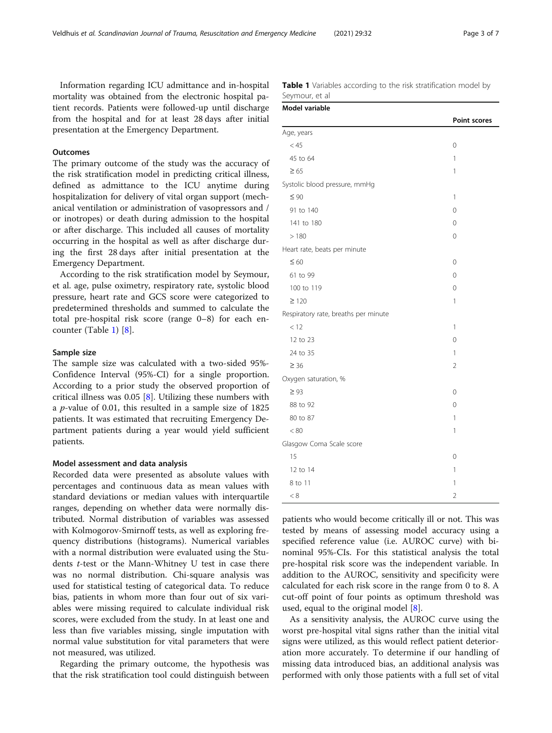Information regarding ICU admittance and in-hospital mortality was obtained from the electronic hospital patient records. Patients were followed-up until discharge from the hospital and for at least 28 days after initial presentation at the Emergency Department.

## **Outcomes**

The primary outcome of the study was the accuracy of the risk stratification model in predicting critical illness, defined as admittance to the ICU anytime during hospitalization for delivery of vital organ support (mechanical ventilation or administration of vasopressors and / or inotropes) or death during admission to the hospital or after discharge. This included all causes of mortality occurring in the hospital as well as after discharge during the first 28 days after initial presentation at the Emergency Department.

According to the risk stratification model by Seymour, et al. age, pulse oximetry, respiratory rate, systolic blood pressure, heart rate and GCS score were categorized to predetermined thresholds and summed to calculate the total pre-hospital risk score (range 0–8) for each encounter (Table 1) [\[8](#page-6-0)].

## Sample size

The sample size was calculated with a two-sided 95%- Confidence Interval (95%-CI) for a single proportion. According to a prior study the observed proportion of critical illness was 0.05 [\[8](#page-6-0)]. Utilizing these numbers with a  $p$ -value of 0.01, this resulted in a sample size of 1825 patients. It was estimated that recruiting Emergency Department patients during a year would yield sufficient patients.

#### Model assessment and data analysis

Recorded data were presented as absolute values with percentages and continuous data as mean values with standard deviations or median values with interquartile ranges, depending on whether data were normally distributed. Normal distribution of variables was assessed with Kolmogorov-Smirnoff tests, as well as exploring frequency distributions (histograms). Numerical variables with a normal distribution were evaluated using the Students t-test or the Mann-Whitney U test in case there was no normal distribution. Chi-square analysis was used for statistical testing of categorical data. To reduce bias, patients in whom more than four out of six variables were missing required to calculate individual risk scores, were excluded from the study. In at least one and less than five variables missing, single imputation with normal value substitution for vital parameters that were not measured, was utilized.

Regarding the primary outcome, the hypothesis was that the risk stratification tool could distinguish between

| <b>Table 1</b> Variables according to the risk stratification model by |  |  |
|------------------------------------------------------------------------|--|--|
| Seymour, et al                                                         |  |  |

| Model variable                       |                     |
|--------------------------------------|---------------------|
|                                      | <b>Point scores</b> |
| Age, years                           |                     |
| < 45                                 | 0                   |
| 45 to 64                             | 1                   |
| $\geq 65$                            | 1                   |
| Systolic blood pressure, mmHg        |                     |
| $\leq 90$                            | $\mathbb{1}$        |
| 91 to 140                            | 0                   |
| 141 to 180                           | $\Omega$            |
| >180                                 | 0                   |
| Heart rate, beats per minute         |                     |
| $\leq 60$                            | 0                   |
| 61 to 99                             | 0                   |
| 100 to 119                           | 0                   |
| $\geq$ 120                           | 1                   |
| Respiratory rate, breaths per minute |                     |
| < 12                                 | 1                   |
| 12 to 23                             | 0                   |
| 24 to 35                             | 1                   |
| $\geq 36$                            | $\overline{2}$      |
| Oxygen saturation, %                 |                     |
| $\geq 93$                            | 0                   |
| 88 to 92                             | 0                   |
| 80 to 87                             | 1                   |
| < 80                                 | 1                   |
| Glasgow Coma Scale score             |                     |
| 15                                   | 0                   |
| 12 to 14                             | $\mathbb{1}$        |
| 8 to 11                              | 1                   |
| < 8                                  | $\overline{2}$      |

patients who would become critically ill or not. This was tested by means of assessing model accuracy using a specified reference value (i.e. AUROC curve) with binominal 95%-CIs. For this statistical analysis the total pre-hospital risk score was the independent variable. In addition to the AUROC, sensitivity and specificity were calculated for each risk score in the range from 0 to 8. A cut-off point of four points as optimum threshold was used, equal to the original model [[8\]](#page-6-0).

As a sensitivity analysis, the AUROC curve using the worst pre-hospital vital signs rather than the initial vital signs were utilized, as this would reflect patient deterioration more accurately. To determine if our handling of missing data introduced bias, an additional analysis was performed with only those patients with a full set of vital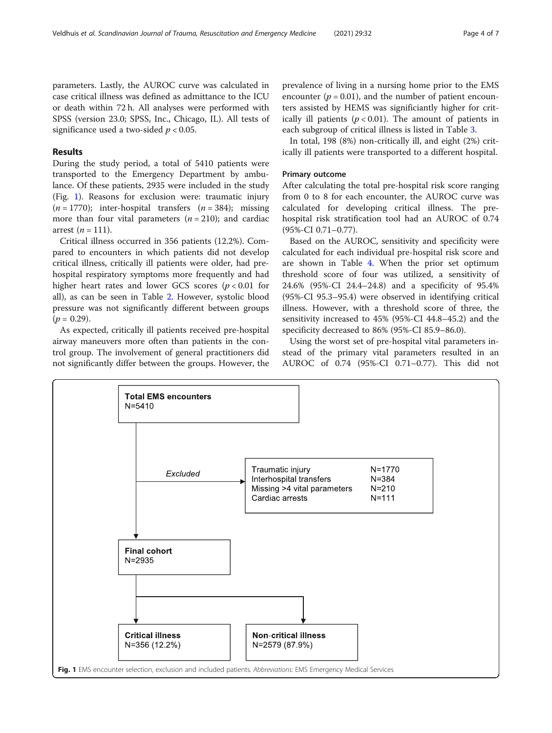parameters. Lastly, the AUROC curve was calculated in case critical illness was defined as admittance to the ICU or death within 72 h. All analyses were performed with SPSS (version 23.0; SPSS, Inc., Chicago, IL). All tests of significance used a two-sided  $p < 0.05$ .

## Results

During the study period, a total of 5410 patients were transported to the Emergency Department by ambulance. Of these patients, 2935 were included in the study (Fig. 1). Reasons for exclusion were: traumatic injury  $(n = 1770)$ ; inter-hospital transfers  $(n = 384)$ ; missing more than four vital parameters  $(n = 210)$ ; and cardiac arrest  $(n = 111)$ .

Critical illness occurred in 356 patients (12.2%). Compared to encounters in which patients did not develop critical illness, critically ill patients were older, had prehospital respiratory symptoms more frequently and had higher heart rates and lower GCS scores ( $p < 0.01$  for all), as can be seen in Table [2.](#page-4-0) However, systolic blood pressure was not significantly different between groups  $(p = 0.29)$ .

As expected, critically ill patients received pre-hospital airway maneuvers more often than patients in the control group. The involvement of general practitioners did not significantly differ between the groups. However, the

prevalence of living in a nursing home prior to the EMS encounter ( $p = 0.01$ ), and the number of patient encounters assisted by HEMS was significiantly higher for critically ill patients ( $p < 0.01$ ). The amount of patients in each subgroup of critical illness is listed in Table [3.](#page-4-0)

In total, 198 (8%) non-critically ill, and eight (2%) critically ill patients were transported to a different hospital.

#### Primary outcome

After calculating the total pre-hospital risk score ranging from 0 to 8 for each encounter, the AUROC curve was calculated for developing critical illness. The prehospital risk stratification tool had an AUROC of 0.74 (95%-CI 0.71–0.77).

Based on the AUROC, sensitivity and specificity were calculated for each individual pre-hospital risk score and are shown in Table [4.](#page-5-0) When the prior set optimum threshold score of four was utilized, a sensitivity of 24.6% (95%-CI 24.4–24.8) and a specificity of 95.4% (95%-CI 95.3–95.4) were observed in identifying critical illness. However, with a threshold score of three, the sensitivity increased to 45% (95%-CI 44.8–45.2) and the specificity decreased to 86% (95%-CI 85.9–86.0).

Using the worst set of pre-hospital vital parameters instead of the primary vital parameters resulted in an AUROC of 0.74 (95%-CI 0.71–0.77). This did not

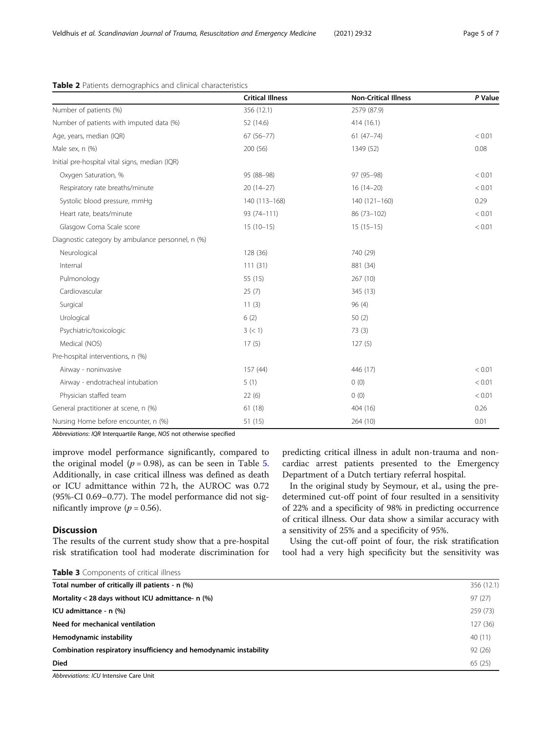|                                                   | <b>Critical Illness</b> | <b>Non-Critical Illness</b> | P Value |
|---------------------------------------------------|-------------------------|-----------------------------|---------|
| Number of patients (%)                            | 356 (12.1)              | 2579 (87.9)                 |         |
| Number of patients with imputed data (%)          | 52 (14.6)               | 414 (16.1)                  |         |
| Age, years, median (IQR)                          | $67(56 - 77)$           | $61(47-74)$                 | < 0.01  |
| Male sex, n (%)                                   | 200 (56)                | 1349 (52)                   | 0.08    |
| Initial pre-hospital vital signs, median (IQR)    |                         |                             |         |
| Oxygen Saturation, %                              | 95 (88-98)              | 97 (95-98)                  | < 0.01  |
| Respiratory rate breaths/minute                   | $20(14-27)$             | $16(14-20)$                 | < 0.01  |
| Systolic blood pressure, mmHg                     | 140 (113-168)           | $140(121-160)$              | 0.29    |
| Heart rate, beats/minute                          | 93 (74-111)             | 86 (73-102)                 | < 0.01  |
| Glasgow Coma Scale score                          | $15(10-15)$             | $15(15-15)$                 | < 0.01  |
| Diagnostic category by ambulance personnel, n (%) |                         |                             |         |
| Neurological                                      | 128 (36)                | 740 (29)                    |         |
| Internal                                          | 111(31)                 | 881 (34)                    |         |
| Pulmonology                                       | 55 (15)                 | 267 (10)                    |         |
| Cardiovascular                                    | 25(7)                   | 345 (13)                    |         |
| Surgical                                          | 11(3)                   | 96(4)                       |         |
| Urological                                        | 6(2)                    | 50(2)                       |         |
| Psychiatric/toxicologic                           | 3 (< 1)                 | 73(3)                       |         |
| Medical (NOS)                                     | 17(5)                   | 127(5)                      |         |
| Pre-hospital interventions, n (%)                 |                         |                             |         |
| Airway - noninvasive                              | 157 (44)                | 446 (17)                    | < 0.01  |
| Airway - endotracheal intubation                  | 5(1)                    | 0(0)                        | < 0.01  |
| Physician staffed team                            | 22(6)                   | 0(0)                        | < 0.01  |
| General practitioner at scene, n (%)              | 61(18)                  | 404 (16)                    | 0.26    |
| Nursing Home before encounter, n (%)              | 51 (15)                 | 264 (10)                    | 0.01    |

## <span id="page-4-0"></span>Table 2 Patients demographics and clinical characteristics

Abbreviations: IQR Interquartile Range, NOS not otherwise specified

improve model performance significantly, compared to the original model ( $p = 0.98$ ), as can be seen in Table [5](#page-5-0). Additionally, in case critical illness was defined as death or ICU admittance within 72 h, the AUROC was 0.72 (95%-CI 0.69–0.77). The model performance did not significantly improve ( $p = 0.56$ ).

## Discussion

The results of the current study show that a pre-hospital risk stratification tool had moderate discrimination for

predicting critical illness in adult non-trauma and noncardiac arrest patients presented to the Emergency Department of a Dutch tertiary referral hospital.

In the original study by Seymour, et al., using the predetermined cut-off point of four resulted in a sensitivity of 22% and a specificity of 98% in predicting occurrence of critical illness. Our data show a similar accuracy with a sensitivity of 25% and a specificity of 95%.

Using the cut-off point of four, the risk stratification tool had a very high specificity but the sensitivity was

|  | Table 3 Components of critical illness |  |  |  |
|--|----------------------------------------|--|--|--|
|--|----------------------------------------|--|--|--|

| <b>FUDIC J</b> COMPONENTS OF CHUCAL IMPLESS                       |            |
|-------------------------------------------------------------------|------------|
| Total number of critically ill patients - n (%)                   | 356 (12.1) |
| Mortality < 28 days without ICU admittance- $n$ (%)               | 97(27)     |
| ICU admittance - n (%)                                            | 259 (73)   |
| Need for mechanical ventilation                                   | 127 (36)   |
| Hemodynamic instability                                           | 40 (11)    |
| Combination respiratory insufficiency and hemodynamic instability | 92(26)     |
| <b>Died</b>                                                       | 65(25)     |
|                                                                   |            |

Abbreviations: ICU Intensive Care Unit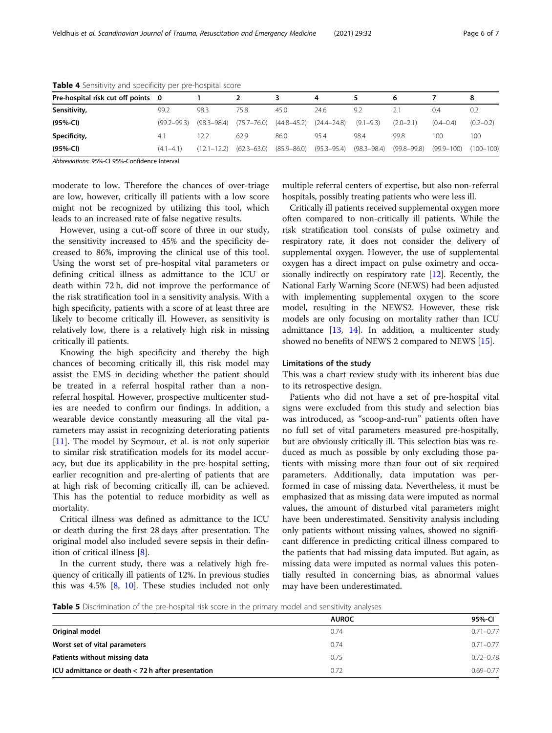| Pre-hospital risk cut off points 0 |                 |                 |                 |                                 | 4               |                         | 6             |                | 8             |
|------------------------------------|-----------------|-----------------|-----------------|---------------------------------|-----------------|-------------------------|---------------|----------------|---------------|
| Sensitivity,                       | 99.2            | 98.3            | 75.8            | 45.0                            | 24.6            | 9.2                     |               | 0.4            | 0.2           |
| (95%-CI)                           | $(99.2 - 99.3)$ | $(98.3 - 98.4)$ | $(75.7 - 76.0)$ | $(44.8 - 45.2)$                 | $(24.4 - 24.8)$ | $(9.1 - 9.3)$           | $(2.0 - 2.1)$ | $(0.4 - 0.4)$  | $(0.2 - 0.2)$ |
| Specificity,                       | 4.1             | 22              | 62.9            | 86.0                            | 95.4            | 98.4                    | 99.8          | 100            | 100           |
| $(95%-Cl)$                         | $(4.1-4.1)$     | $(12.1 - 12.2)$ |                 | $(62.3 - 63.0)$ $(85.9 - 86.0)$ |                 | (95.3–95.4) (98.3–98.4) | (99.8–99.8)   | $(99.9 - 100)$ | $(100 - 100)$ |

<span id="page-5-0"></span>Table 4 Sensitivity and specificity per pre-hospital score

Abbreviations: 95%-CI 95%-Confidence Interval

moderate to low. Therefore the chances of over-triage are low, however, critically ill patients with a low score might not be recognized by utilizing this tool, which leads to an increased rate of false negative results.

However, using a cut-off score of three in our study, the sensitivity increased to 45% and the specificity decreased to 86%, improving the clinical use of this tool. Using the worst set of pre-hospital vital parameters or defining critical illness as admittance to the ICU or death within 72 h, did not improve the performance of the risk stratification tool in a sensitivity analysis. With a high specificity, patients with a score of at least three are likely to become critically ill. However, as sensitivity is relatively low, there is a relatively high risk in missing critically ill patients.

Knowing the high specificity and thereby the high chances of becoming critically ill, this risk model may assist the EMS in deciding whether the patient should be treated in a referral hospital rather than a nonreferral hospital. However, prospective multicenter studies are needed to confirm our findings. In addition, a wearable device constantly measuring all the vital parameters may assist in recognizing deteriorating patients [[11\]](#page-6-0). The model by Seymour, et al. is not only superior to similar risk stratification models for its model accuracy, but due its applicability in the pre-hospital setting, earlier recognition and pre-alerting of patients that are at high risk of becoming critically ill, can be achieved. This has the potential to reduce morbidity as well as mortality.

Critical illness was defined as admittance to the ICU or death during the first 28 days after presentation. The original model also included severe sepsis in their definition of critical illness [\[8](#page-6-0)].

In the current study, there was a relatively high frequency of critically ill patients of 12%. In previous studies this was 4.5% [\[8](#page-6-0), [10\]](#page-6-0). These studies included not only

multiple referral centers of expertise, but also non-referral hospitals, possibly treating patients who were less ill.

Critically ill patients received supplemental oxygen more often compared to non-critically ill patients. While the risk stratification tool consists of pulse oximetry and respiratory rate, it does not consider the delivery of supplemental oxygen. However, the use of supplemental oxygen has a direct impact on pulse oximetry and occasionally indirectly on respiratory rate [\[12\]](#page-6-0). Recently, the National Early Warning Score (NEWS) had been adjusted with implementing supplemental oxygen to the score model, resulting in the NEWS2. However, these risk models are only focusing on mortality rather than ICU admittance [[13](#page-6-0), [14](#page-6-0)]. In addition, a multicenter study showed no benefits of NEWS 2 compared to NEWS [[15](#page-6-0)].

#### Limitations of the study

This was a chart review study with its inherent bias due to its retrospective design.

Patients who did not have a set of pre-hospital vital signs were excluded from this study and selection bias was introduced, as "scoop-and-run" patients often have no full set of vital parameters measured pre-hospitally, but are obviously critically ill. This selection bias was reduced as much as possible by only excluding those patients with missing more than four out of six required parameters. Additionally, data imputation was performed in case of missing data. Nevertheless, it must be emphasized that as missing data were imputed as normal values, the amount of disturbed vital parameters might have been underestimated. Sensitivity analysis including only patients without missing values, showed no significant difference in predicting critical illness compared to the patients that had missing data imputed. But again, as missing data were imputed as normal values this potentially resulted in concerning bias, as abnormal values may have been underestimated.

Table 5 Discrimination of the pre-hospital risk score in the primary model and sensitivity analyses

|                                                   | <b>AUROC</b> | 95%-CI        |  |
|---------------------------------------------------|--------------|---------------|--|
| Original model                                    | 0.74         | $0.71 - 0.77$ |  |
| Worst set of vital parameters                     | 0.74         | $0.71 - 0.77$ |  |
| Patients without missing data                     | 0.75         | $0.72 - 0.78$ |  |
| ICU admittance or death < 72 h after presentation | 0.72         | $0.69 - 0.77$ |  |